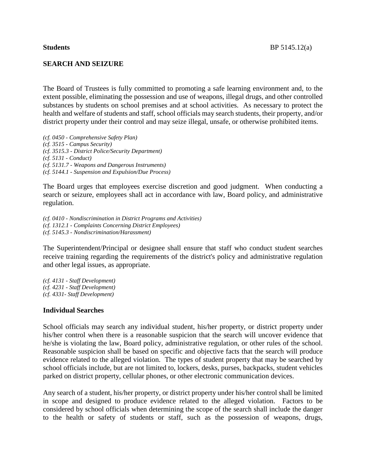# **SEARCH AND SEIZURE**

The Board of Trustees is fully committed to promoting a safe learning environment and, to the extent possible, eliminating the possession and use of weapons, illegal drugs, and other controlled substances by students on school premises and at school activities. As necessary to protect the health and welfare of students and staff, school officials may search students, their property, and/or district property under their control and may seize illegal, unsafe, or otherwise prohibited items.

*(cf. 0450 - Comprehensive Safety Plan) (cf. 3515 - Campus Security) (cf. 3515.3 - District Police/Security Department) (cf. 5131 - Conduct) (cf. 5131.7 - Weapons and Dangerous Instruments) (cf. 5144.1 - Suspension and Expulsion/Due Process)*

The Board urges that employees exercise discretion and good judgment. When conducting a search or seizure, employees shall act in accordance with law, Board policy, and administrative regulation.

*(cf. 0410 - Nondiscrimination in District Programs and Activities) (cf. 1312.1 - Complaints Concerning District Employees) (cf. 5145.3 - Nondiscrimination/Harassment)*

The Superintendent/Principal or designee shall ensure that staff who conduct student searches receive training regarding the requirements of the district's policy and administrative regulation and other legal issues, as appropriate.

*(cf. 4131 - Staff Development) (cf. 4231 - Staff Development) (cf. 4331- Staff Development)*

## **Individual Searches**

School officials may search any individual student, his/her property, or district property under his/her control when there is a reasonable suspicion that the search will uncover evidence that he/she is violating the law, Board policy, administrative regulation, or other rules of the school. Reasonable suspicion shall be based on specific and objective facts that the search will produce evidence related to the alleged violation. The types of student property that may be searched by school officials include, but are not limited to, lockers, desks, purses, backpacks, student vehicles parked on district property, cellular phones, or other electronic communication devices.

Any search of a student, his/her property, or district property under his/her control shall be limited in scope and designed to produce evidence related to the alleged violation. Factors to be considered by school officials when determining the scope of the search shall include the danger to the health or safety of students or staff, such as the possession of weapons, drugs,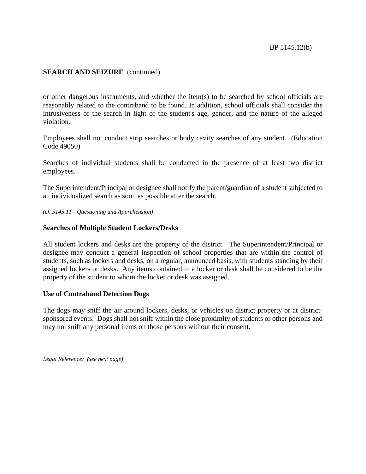# **SEARCH AND SEIZURE** (continued)

or other dangerous instruments, and whether the item(s) to be searched by school officials are reasonably related to the contraband to be found. In addition, school officials shall consider the intrusiveness of the search in light of the student's age, gender, and the nature of the alleged violation.

Employees shall not conduct strip searches or body cavity searches of any student. (Education Code 49050)

Searches of individual students shall be conducted in the presence of at least two district employees.

The Superintendent/Principal or designee shall notify the parent/guardian of a student subjected to an individualized search as soon as possible after the search.

*(cf. 5145.11 - Questioning and Apprehension)*

## **Searches of Multiple Student Lockers/Desks**

All student lockers and desks are the property of the district. The Superintendent/Principal or designee may conduct a general inspection of school properties that are within the control of students, such as lockers and desks, on a regular, announced basis, with students standing by their assigned lockers or desks. Any items contained in a locker or desk shall be considered to be the property of the student to whom the locker or desk was assigned.

## **Use of Contraband Detection Dogs**

The dogs may sniff the air around lockers, desks, or vehicles on district property or at districtsponsored events. Dogs shall not sniff within the close proximity of students or other persons and may not sniff any personal items on those persons without their consent.

*Legal Reference: (see next page)*